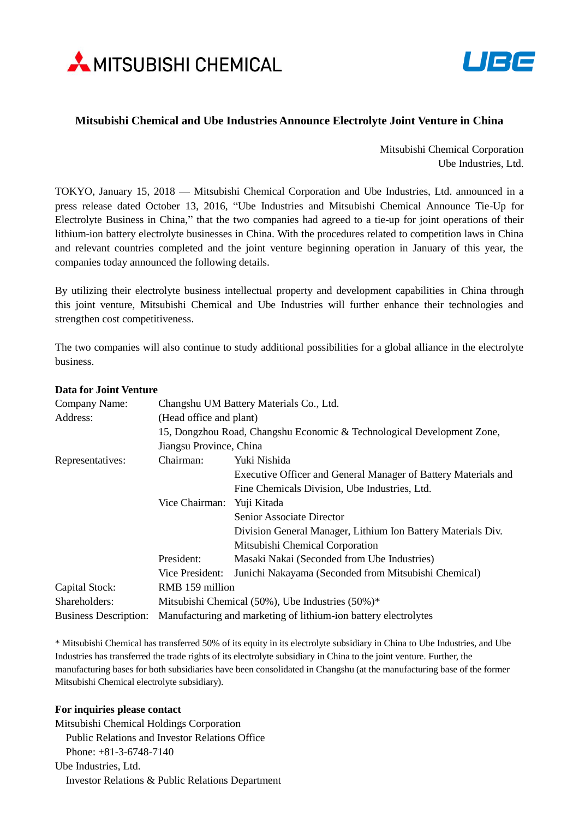



## **Mitsubishi Chemical and Ube Industries Announce Electrolyte Joint Venture in China**

Mitsubishi Chemical Corporation Ube Industries, Ltd.

TOKYO, January 15, 2018 — Mitsubishi Chemical Corporation and Ube Industries, Ltd. announced in a press release dated October 13, 2016, "Ube Industries and Mitsubishi Chemical Announce Tie-Up for Electrolyte Business in China," that the two companies had agreed to a tie-up for joint operations of their lithium-ion battery electrolyte businesses in China. With the procedures related to competition laws in China and relevant countries completed and the joint venture beginning operation in January of this year, the companies today announced the following details.

By utilizing their electrolyte business intellectual property and development capabilities in China through this joint venture, Mitsubishi Chemical and Ube Industries will further enhance their technologies and strengthen cost competitiveness.

The two companies will also continue to study additional possibilities for a global alliance in the electrolyte business.

| Company Name:                | Changshu UM Battery Materials Co., Ltd.                                |                                                                |
|------------------------------|------------------------------------------------------------------------|----------------------------------------------------------------|
| Address:                     | (Head office and plant)                                                |                                                                |
|                              | 15, Dongzhou Road, Changshu Economic & Technological Development Zone, |                                                                |
|                              | Jiangsu Province, China                                                |                                                                |
| Representatives:             | Chairman:                                                              | Yuki Nishida                                                   |
|                              |                                                                        | Executive Officer and General Manager of Battery Materials and |
|                              |                                                                        | Fine Chemicals Division, Ube Industries, Ltd.                  |
|                              | Vice Chairman:                                                         | Yuji Kitada                                                    |
|                              |                                                                        | <b>Senior Associate Director</b>                               |
|                              |                                                                        | Division General Manager, Lithium Ion Battery Materials Div.   |
|                              |                                                                        | Mitsubishi Chemical Corporation                                |
|                              | President:                                                             | Masaki Nakai (Seconded from Ube Industries)                    |
|                              | Vice President:                                                        | Junichi Nakayama (Seconded from Mitsubishi Chemical)           |
| Capital Stock:               | RMB 159 million                                                        |                                                                |
| Shareholders:                | Mitsubishi Chemical $(50\%)$ , Ube Industries $(50\%)^*$               |                                                                |
| <b>Business Description:</b> | Manufacturing and marketing of lithium-ion battery electrolytes        |                                                                |

## **Data for Joint Venture**

\* Mitsubishi Chemical has transferred 50% of its equity in its electrolyte subsidiary in China to Ube Industries, and Ube Industries has transferred the trade rights of its electrolyte subsidiary in China to the joint venture. Further, the manufacturing bases for both subsidiaries have been consolidated in Changshu (at the manufacturing base of the former Mitsubishi Chemical electrolyte subsidiary).

## **For inquiries please contact**

Mitsubishi Chemical Holdings Corporation Public Relations and Investor Relations Office Phone: +81-3-6748-7140 Ube Industries, Ltd. Investor Relations & Public Relations Department